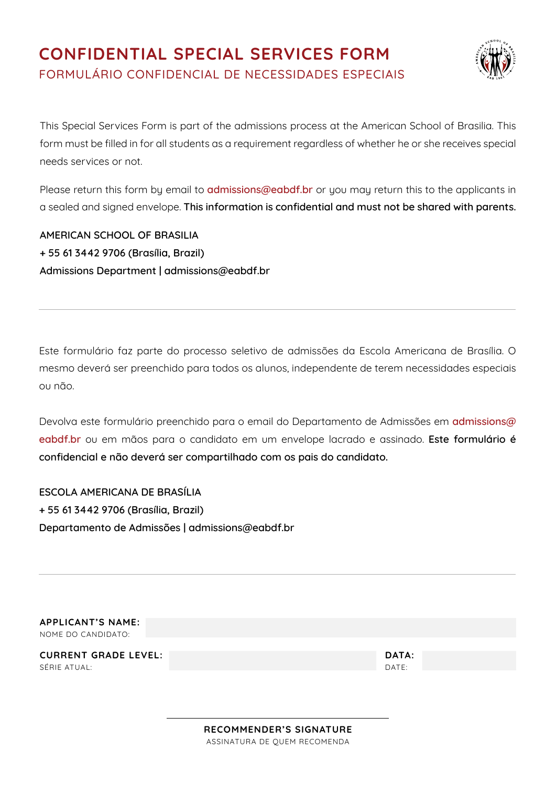# **CONFIDENTIAL SPECIAL SERVICES FORM** FORMULÁRIO CONFIDENCIAL DE NECESSIDADES ESPECIAIS



This Special Services Form is part of the admissions process at the American School of Brasilia. This form must be filled in for all students as a requirement regardless of whether he or she receives special needs services or not.

Please return this form by email to **<admissions@eabdf.br>** or you may return this to the applicants in a sealed and signed envelope. **This information is confidential and must not be shared with parents.**

**AMERICAN SCHOOL OF BRASILIA + 55 61 3442 9706 (Brasília, Brazil) Admissions Department | admissions@eabdf.br**

Este formulário faz parte do processo seletivo de admissões da Escola Americana de Brasília. O mesmo deverá ser preenchido para todos os alunos, independente de terem necessidades especiais ou não.

Devolva este formulário preenchido para o email do Departamento de Admissões em **admissions@ eabdf.br** ou em mãos para o candidato em um envelope lacrado e assinado. **Este formulário é confidencial e não deverá ser compartilhado com os pais do candidato.**

**ESCOLA AMERICANA DE BRASÍLIA + 55 61 3442 9706 (Brasília, Brazil) Departamento de Admissões | admissions@eabdf.br**

**APPLICANT'S NAME:** NOME DO CANDIDATO:

**CURRENT GRADE LEVEL: DATA:** SÉRIE ATUAL: DATE: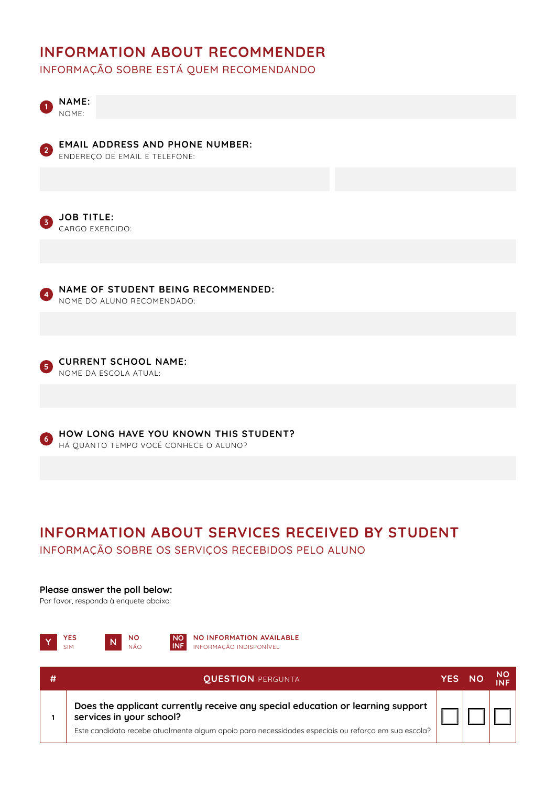### **INFORMATION ABOUT RECOMMENDER**

INFORMAÇÃO SOBRE ESTÁ QUEM RECOMENDANDO



#### **Please answer the poll below:**

Por favor, responda à enquete abaixo:



| 41 | <b>QUESTION PERGUNTA</b>                                                                                                                                                                                         | YES/ |  |
|----|------------------------------------------------------------------------------------------------------------------------------------------------------------------------------------------------------------------|------|--|
|    | Does the applicant currently receive any special education or learning support<br>services in your school?<br>Este candidato recebe atualmente algum apoio para necessidades especiais ou reforço em sua escola? |      |  |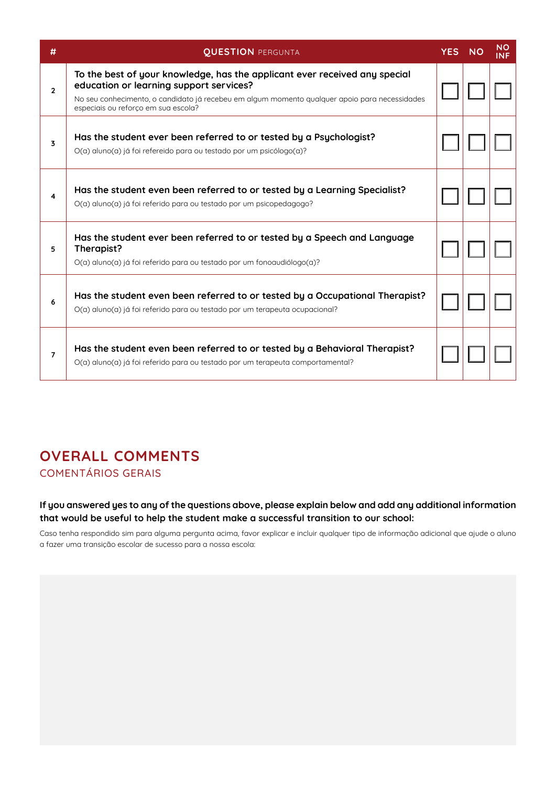| #              | <b>QUESTION PERGUNTA</b>                                                                                                                                                                                                                                      | <b>YES</b> | <b>NO</b> | <b>NO</b><br><b>INF</b> |
|----------------|---------------------------------------------------------------------------------------------------------------------------------------------------------------------------------------------------------------------------------------------------------------|------------|-----------|-------------------------|
| $\overline{2}$ | To the best of your knowledge, has the applicant ever received any special<br>education or learning support services?<br>No seu conhecimento, o candidato já recebeu em algum momento qualquer apoio para necessidades<br>especiais ou reforço em sua escola? |            |           |                         |
| 3              | Has the student ever been referred to or tested by a Psychologist?<br>O(a) aluno(a) já foi refereido para ou testado por um psicólogo(a)?                                                                                                                     |            |           |                         |
| 4              | Has the student even been referred to or tested by a Learning Specialist?<br>O(a) aluno(a) já foi referido para ou testado por um psicopedagogo?                                                                                                              |            |           |                         |
| 5              | Has the student ever been referred to or tested by a Speech and Language<br>Therapist?<br>O(a) aluno(a) já foi referido para ou testado por um fonoaudiólogo(a)?                                                                                              |            |           |                         |
| 6              | Has the student even been referred to or tested by a Occupational Therapist?<br>O(a) aluno(a) já foi referido para ou testado por um terapeuta ocupacional?                                                                                                   |            |           |                         |
| $\overline{7}$ | Has the student even been referred to or tested by a Behavioral Therapist?<br>O(a) aluno(a) já foi referido para ou testado por um terapeuta comportamental?                                                                                                  |            |           |                         |

# **OVERALL COMMENTS**

COMENTÁRIOS GERAIS

### **If you answered yes to any of the questions above, please explain below and add any additional information that would be useful to help the student make a successful transition to our school:**

Caso tenha respondido sim para alguma pergunta acima, favor explicar e incluir qualquer tipo de informação adicional que ajude o aluno a fazer uma transição escolar de sucesso para a nossa escola: